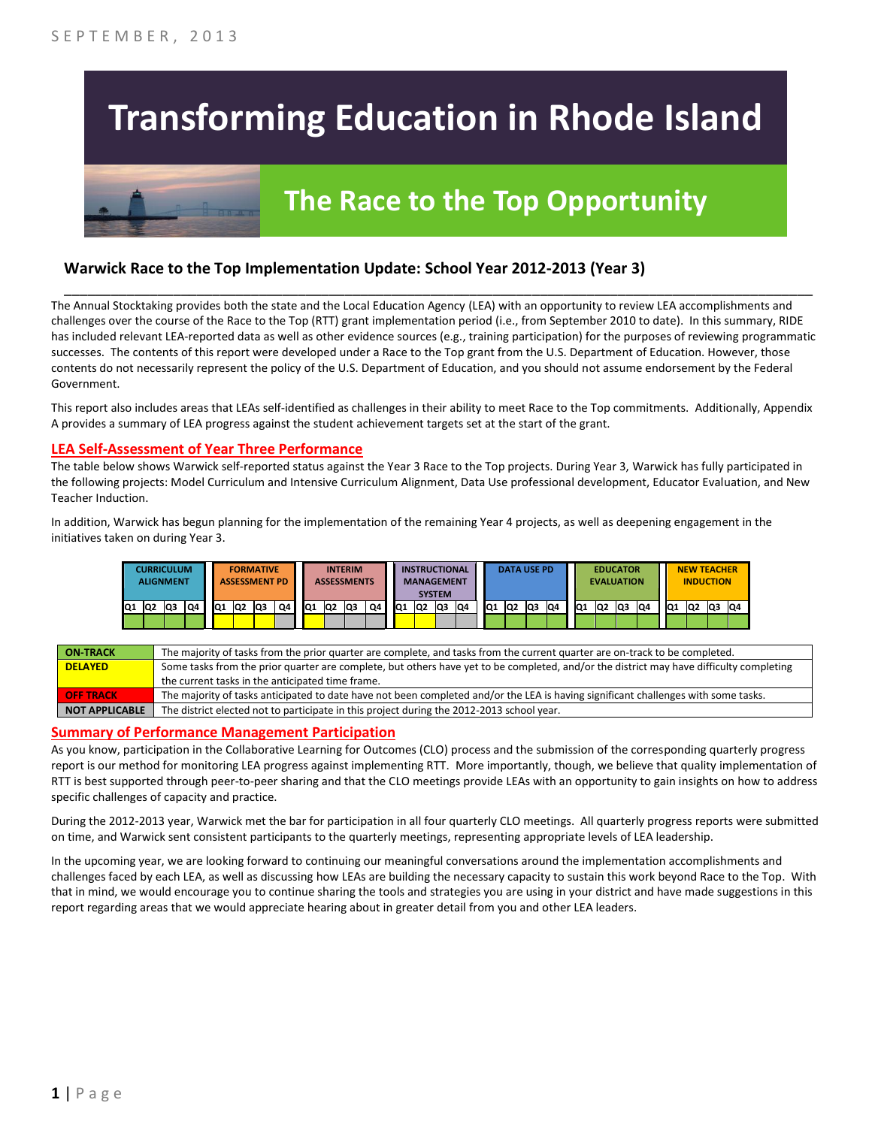# **Transforming Education in Rhode Island**

## **The Race to the Top Opportunity**

#### **Warwick Race to the Top Implementation Update: School Year 2012-2013 (Year 3)**

The Annual Stocktaking provides both the state and the Local Education Agency (LEA) with an opportunity to review LEA accomplishments and challenges over the course of the Race to the Top (RTT) grant implementation period (i.e., from September 2010 to date). In this summary, RIDE has included relevant LEA-reported data as well as other evidence sources (e.g., training participation) for the purposes of reviewing programmatic successes. The contents of this report were developed under a Race to the Top grant from the U.S. Department of Education. However, those contents do not necessarily represent the policy of the U.S. Department of Education, and you should not assume endorsement by the Federal Government.

\_\_\_\_\_\_\_\_\_\_\_\_\_\_\_\_\_\_\_\_\_\_\_\_\_\_\_\_\_\_\_\_\_\_\_\_\_\_\_\_\_\_\_\_\_\_\_\_\_\_\_\_\_\_\_\_\_\_\_\_\_\_\_\_\_\_\_\_\_\_\_\_\_\_\_\_\_\_\_\_\_\_\_\_\_\_\_\_\_\_\_\_\_\_\_\_

This report also includes areas that LEAs self-identified as challenges in their ability to meet Race to the Top commitments. Additionally, Appendix A provides a summary of LEA progress against the student achievement targets set at the start of the grant.

#### **LEA Self-Assessment of Year Three Performance**

The table below shows Warwick self-reported status against the Year 3 Race to the Top projects. During Year 3, Warwick has fully participated in the following projects: Model Curriculum and Intensive Curriculum Alignment, Data Use professional development, Educator Evaluation, and New Teacher Induction.

In addition, Warwick has begun planning for the implementation of the remaining Year 4 projects, as well as deepening engagement in the initiatives taken on during Year 3.



| <b>ON TRACK</b>  | The majority of tasks from the prior quarter are complete, and tasks from the current quarter are on-track to be completed.             |
|------------------|-----------------------------------------------------------------------------------------------------------------------------------------|
| <b>DELAYED</b>   | Some tasks from the prior quarter are complete, but others have yet to be completed, and/or the district may have difficulty completing |
|                  | the current tasks in the anticipated time frame.                                                                                        |
| <b>OFF TRACK</b> | The majority of tasks anticipated to date have not been completed and/or the LEA is having significant challenges with some tasks.      |
| NOT APPLICABLE   | The district elected not to participate in this project during the 2012-2013 school year.                                               |

#### **Summary of Performance Management Participation**

As you know, participation in the Collaborative Learning for Outcomes (CLO) process and the submission of the corresponding quarterly progress report is our method for monitoring LEA progress against implementing RTT. More importantly, though, we believe that quality implementation of RTT is best supported through peer-to-peer sharing and that the CLO meetings provide LEAs with an opportunity to gain insights on how to address specific challenges of capacity and practice.

During the 2012-2013 year, Warwick met the bar for participation in all four quarterly CLO meetings. All quarterly progress reports were submitted on time, and Warwick sent consistent participants to the quarterly meetings, representing appropriate levels of LEA leadership.

In the upcoming year, we are looking forward to continuing our meaningful conversations around the implementation accomplishments and challenges faced by each LEA, as well as discussing how LEAs are building the necessary capacity to sustain this work beyond Race to the Top. With that in mind, we would encourage you to continue sharing the tools and strategies you are using in your district and have made suggestions in this report regarding areas that we would appreciate hearing about in greater detail from you and other LEA leaders.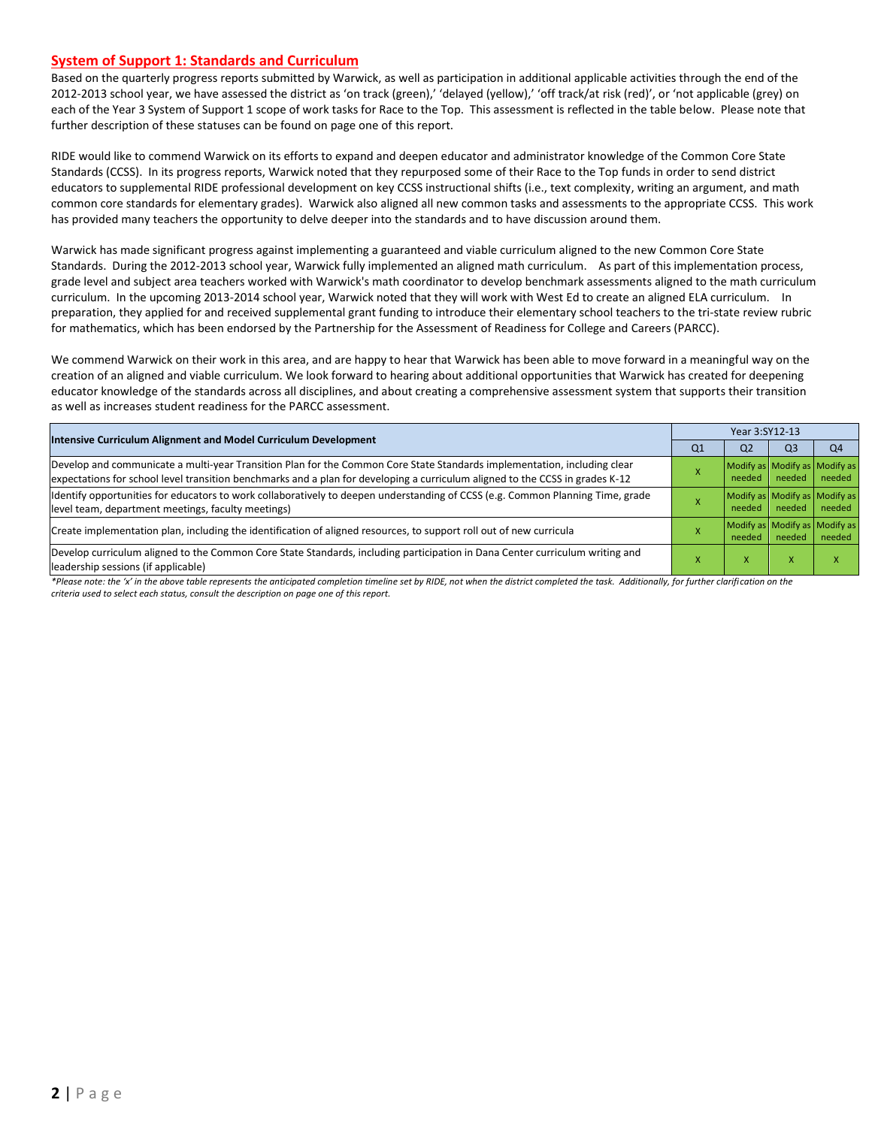#### **System of Support 1: Standards and Curriculum**

Based on the quarterly progress reports submitted by Warwick, as well as participation in additional applicable activities through the end of the 2012-2013 school year, we have assessed the district as 'on track (green),' 'delayed (yellow),' 'off track/at risk (red)', or 'not applicable (grey) on each of the Year 3 System of Support 1 scope of work tasks for Race to the Top. This assessment is reflected in the table below. Please note that further description of these statuses can be found on page one of this report.

RIDE would like to commend Warwick on its efforts to expand and deepen educator and administrator knowledge of the Common Core State Standards (CCSS). In its progress reports, Warwick noted that they repurposed some of their Race to the Top funds in order to send district educators to supplemental RIDE professional development on key CCSS instructional shifts (i.e., text complexity, writing an argument, and math common core standards for elementary grades). Warwick also aligned all new common tasks and assessments to the appropriate CCSS. This work has provided many teachers the opportunity to delve deeper into the standards and to have discussion around them.

Warwick has made significant progress against implementing a guaranteed and viable curriculum aligned to the new Common Core State Standards. During the 2012-2013 school year, Warwick fully implemented an aligned math curriculum. As part of this implementation process, grade level and subject area teachers worked with Warwick's math coordinator to develop benchmark assessments aligned to the math curriculum curriculum. In the upcoming 2013-2014 school year, Warwick noted that they will work with West Ed to create an aligned ELA curriculum. In preparation, they applied for and received supplemental grant funding to introduce their elementary school teachers to the tri-state review rubric for mathematics, which has been endorsed by the Partnership for the Assessment of Readiness for College and Careers (PARCC).

We commend Warwick on their work in this area, and are happy to hear that Warwick has been able to move forward in a meaningful way on the creation of an aligned and viable curriculum. We look forward to hearing about additional opportunities that Warwick has created for deepening educator knowledge of the standards across all disciplines, and about creating a comprehensive assessment system that supports their transition as well as increases student readiness for the PARCC assessment.

| <b>Intensive Curriculum Alignment and Model Curriculum Development</b>                                                                                                                                                                                    |                | Year 3:SY12-13                          |                |        |  |  |  |
|-----------------------------------------------------------------------------------------------------------------------------------------------------------------------------------------------------------------------------------------------------------|----------------|-----------------------------------------|----------------|--------|--|--|--|
|                                                                                                                                                                                                                                                           | Q <sub>1</sub> | Q <sub>2</sub>                          | Q <sub>3</sub> | Q4     |  |  |  |
| Develop and communicate a multi-year Transition Plan for the Common Core State Standards implementation, including clear<br>expectations for school level transition benchmarks and a plan for developing a curriculum aligned to the CCSS in grades K-12 |                | Modify as Modify as Modify as<br>needed | needed         | needed |  |  |  |
| ldentify opportunities for educators to work collaboratively to deepen understanding of CCSS (e.g. Common Planning Time, grade<br>level team, department meetings, faculty meetings)                                                                      |                | Modify as Modify as Modify as<br>needed | needed         | needed |  |  |  |
| Create implementation plan, including the identification of aligned resources, to support roll out of new curricula                                                                                                                                       |                | Modify as Modify as Modify as<br>needed | needed         | needed |  |  |  |
| Develop curriculum aligned to the Common Core State Standards, including participation in Dana Center curriculum writing and<br>leadership sessions (if applicable)                                                                                       |                | X                                       | x              |        |  |  |  |

*\*Please note: the 'x' in the above table represents the anticipated completion timeline set by RIDE, not when the district completed the task. Additionally, for further clarification on the criteria used to select each status, consult the description on page one of this report.*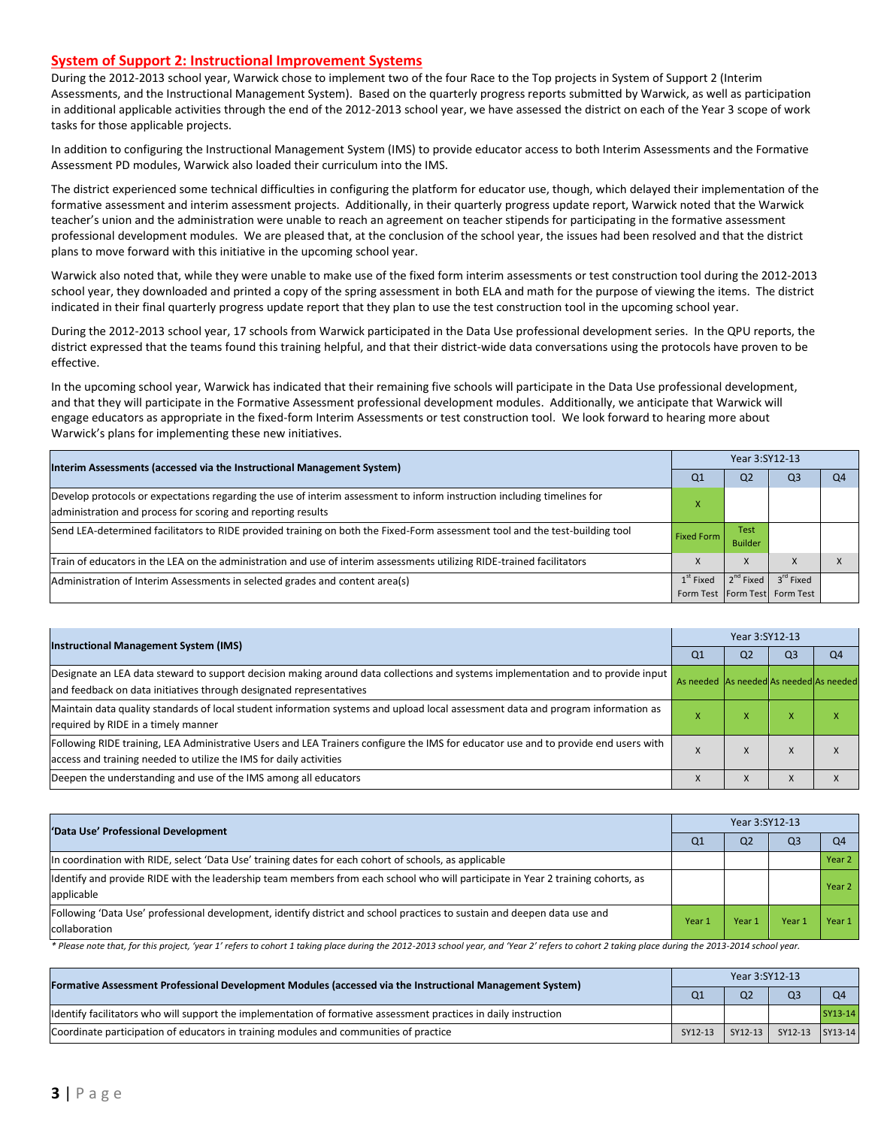#### **System of Support 2: Instructional Improvement Systems**

During the 2012-2013 school year, Warwick chose to implement two of the four Race to the Top projects in System of Support 2 (Interim Assessments, and the Instructional Management System). Based on the quarterly progress reports submitted by Warwick, as well as participation in additional applicable activities through the end of the 2012-2013 school year, we have assessed the district on each of the Year 3 scope of work tasks for those applicable projects.

In addition to configuring the Instructional Management System (IMS) to provide educator access to both Interim Assessments and the Formative Assessment PD modules, Warwick also loaded their curriculum into the IMS.

The district experienced some technical difficulties in configuring the platform for educator use, though, which delayed their implementation of the formative assessment and interim assessment projects. Additionally, in their quarterly progress update report, Warwick noted that the Warwick teacher's union and the administration were unable to reach an agreement on teacher stipends for participating in the formative assessment professional development modules. We are pleased that, at the conclusion of the school year, the issues had been resolved and that the district plans to move forward with this initiative in the upcoming school year.

Warwick also noted that, while they were unable to make use of the fixed form interim assessments or test construction tool during the 2012-2013 school year, they downloaded and printed a copy of the spring assessment in both ELA and math for the purpose of viewing the items. The district indicated in their final quarterly progress update report that they plan to use the test construction tool in the upcoming school year.

During the 2012-2013 school year, 17 schools from Warwick participated in the Data Use professional development series. In the QPU reports, the district expressed that the teams found this training helpful, and that their district-wide data conversations using the protocols have proven to be effective.

In the upcoming school year, Warwick has indicated that their remaining five schools will participate in the Data Use professional development, and that they will participate in the Formative Assessment professional development modules. Additionally, we anticipate that Warwick will engage educators as appropriate in the fixed-form Interim Assessments or test construction tool. We look forward to hearing more about Warwick's plans for implementing these new initiatives.

| Interim Assessments (accessed via the Instructional Management System)                                                                                                                  |                   | Year 3:SY12-13                |                               |                |  |  |  |
|-----------------------------------------------------------------------------------------------------------------------------------------------------------------------------------------|-------------------|-------------------------------|-------------------------------|----------------|--|--|--|
|                                                                                                                                                                                         | Q <sub>1</sub>    | Q <sub>2</sub>                | O <sub>3</sub>                | Q <sub>4</sub> |  |  |  |
| Develop protocols or expectations regarding the use of interim assessment to inform instruction including timelines for<br>administration and process for scoring and reporting results |                   |                               |                               |                |  |  |  |
|                                                                                                                                                                                         |                   |                               |                               |                |  |  |  |
| Send LEA-determined facilitators to RIDE provided training on both the Fixed-Form assessment tool and the test-building tool                                                            | <b>Fixed Form</b> | <b>Test</b><br><b>Builder</b> |                               |                |  |  |  |
| Train of educators in the LEA on the administration and use of interim assessments utilizing RIDE-trained facilitators                                                                  |                   | X                             |                               |                |  |  |  |
| Administration of Interim Assessments in selected grades and content area(s)                                                                                                            | $1st$ Fixed       | $2^{nd}$ Fixed                | $3^{\text{rd}}$ Fixed         |                |  |  |  |
|                                                                                                                                                                                         |                   |                               | Form Test Form Test Form Test |                |  |  |  |

| <b>Instructional Management System (IMS)</b>                                                                                                                                                              |                                         | Year 3:SY12-13 |                |                |  |  |  |
|-----------------------------------------------------------------------------------------------------------------------------------------------------------------------------------------------------------|-----------------------------------------|----------------|----------------|----------------|--|--|--|
|                                                                                                                                                                                                           | Q <sub>1</sub>                          | Q <sub>2</sub> | Q <sub>3</sub> | Q <sub>4</sub> |  |  |  |
| Designate an LEA data steward to support decision making around data collections and systems implementation and to provide input<br>and feedback on data initiatives through designated representatives   | As needed As needed As needed As needed |                |                |                |  |  |  |
| Maintain data quality standards of local student information systems and upload local assessment data and program information as<br>required by RIDE in a timely manner                                   |                                         | x              | x              | x              |  |  |  |
| Following RIDE training, LEA Administrative Users and LEA Trainers configure the IMS for educator use and to provide end users with<br>access and training needed to utilize the IMS for daily activities |                                         | X              | $\lambda$      | X              |  |  |  |
| Deepen the understanding and use of the IMS among all educators                                                                                                                                           |                                         | X              | $\lambda$      | X              |  |  |  |

| 'Data Use' Professional Development                                                                                                           |        | Year 3:SY12-13 |                |                |  |  |  |
|-----------------------------------------------------------------------------------------------------------------------------------------------|--------|----------------|----------------|----------------|--|--|--|
|                                                                                                                                               | Q1     | Q <sub>2</sub> | Q <sub>3</sub> | O <sub>4</sub> |  |  |  |
| In coordination with RIDE, select 'Data Use' training dates for each cohort of schools, as applicable                                         |        |                |                | Year 2         |  |  |  |
| ldentify and provide RIDE with the leadership team members from each school who will participate in Year 2 training cohorts, as<br>applicable |        |                |                | Year 2         |  |  |  |
| [Following 'Data Use' professional development, identify district and school practices to sustain and deepen data use and<br>collaboration    | Year 1 | Year 1         | Year           | Year 1         |  |  |  |

\* Please note that, for this project, 'year 1' refers to cohort 1 taking place during the 2012-2013 school year, and 'Year 2' refers to cohort 2 taking place during the 2013-2014 school year.

| [Formative Assessment Professional Development Modules (accessed via the Instructional Management System)        |         | Year 3:SY12-13 |                 |                |  |  |
|------------------------------------------------------------------------------------------------------------------|---------|----------------|-----------------|----------------|--|--|
|                                                                                                                  |         | Q <sub>2</sub> | Q <sub>3</sub>  | Q <sub>4</sub> |  |  |
| Identify facilitators who will support the implementation of formative assessment practices in daily instruction |         |                |                 | SY13-14        |  |  |
| Coordinate participation of educators in training modules and communities of practice                            | SY12-13 | SY12-13        | SY12-13 SY13-14 |                |  |  |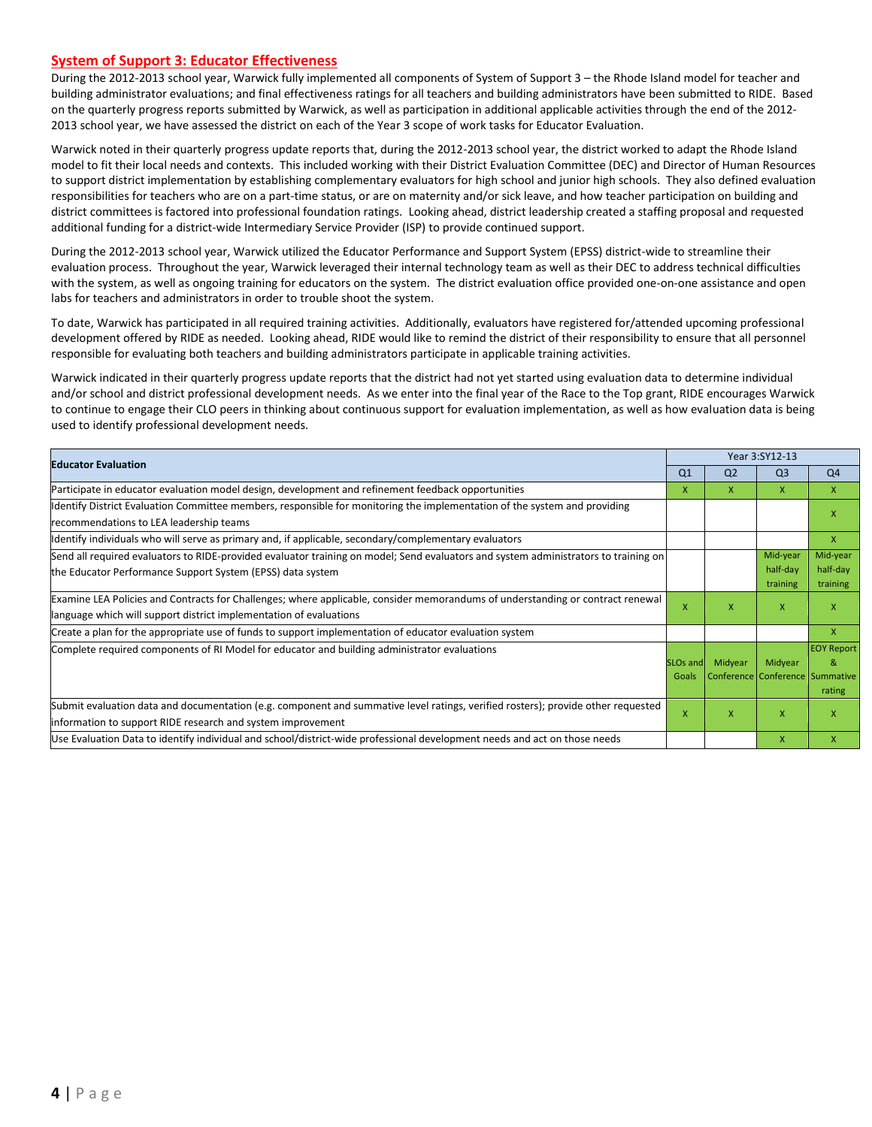#### **System of Support 3: Educator Effectiveness**

During the 2012-2013 school year, Warwick fully implemented all components of System of Support 3 – the Rhode Island model for teacher and building administrator evaluations; and final effectiveness ratings for all teachers and building administrators have been submitted to RIDE. Based on the quarterly progress reports submitted by Warwick, as well as participation in additional applicable activities through the end of the 2012- 2013 school year, we have assessed the district on each of the Year 3 scope of work tasks for Educator Evaluation.

Warwick noted in their quarterly progress update reports that, during the 2012-2013 school year, the district worked to adapt the Rhode Island model to fit their local needs and contexts. This included working with their District Evaluation Committee (DEC) and Director of Human Resources to support district implementation by establishing complementary evaluators for high school and junior high schools. They also defined evaluation responsibilities for teachers who are on a part-time status, or are on maternity and/or sick leave, and how teacher participation on building and district committees is factored into professional foundation ratings. Looking ahead, district leadership created a staffing proposal and requested additional funding for a district-wide Intermediary Service Provider (ISP) to provide continued support.

During the 2012-2013 school year, Warwick utilized the Educator Performance and Support System (EPSS) district-wide to streamline their evaluation process. Throughout the year, Warwick leveraged their internal technology team as well as their DEC to address technical difficulties with the system, as well as ongoing training for educators on the system. The district evaluation office provided one-on-one assistance and open labs for teachers and administrators in order to trouble shoot the system.

To date, Warwick has participated in all required training activities. Additionally, evaluators have registered for/attended upcoming professional development offered by RIDE as needed. Looking ahead, RIDE would like to remind the district of their responsibility to ensure that all personnel responsible for evaluating both teachers and building administrators participate in applicable training activities.

Warwick indicated in their quarterly progress update reports that the district had not yet started using evaluation data to determine individual and/or school and district professional development needs. As we enter into the final year of the Race to the Top grant, RIDE encourages Warwick to continue to engage their CLO peers in thinking about continuous support for evaluation implementation, as well as how evaluation data is being used to identify professional development needs.

| <b>Educator Evaluation</b>                                                                                                          |                      |                                 | Year 3:SY12-13            |                   |
|-------------------------------------------------------------------------------------------------------------------------------------|----------------------|---------------------------------|---------------------------|-------------------|
|                                                                                                                                     | Q <sub>1</sub>       | Q <sub>2</sub>                  | Q <sub>3</sub>            | Q <sub>4</sub>    |
| Participate in educator evaluation model design, development and refinement feedback opportunities                                  | X                    | x                               | $\boldsymbol{\mathsf{x}}$ | X                 |
| Identify District Evaluation Committee members, responsible for monitoring the implementation of the system and providing           |                      |                                 |                           | x                 |
| recommendations to LEA leadership teams                                                                                             |                      |                                 |                           |                   |
| ldentify individuals who will serve as primary and, if applicable, secondary/complementary evaluators                               |                      |                                 |                           | X                 |
| Send all required evaluators to RIDE-provided evaluator training on model; Send evaluators and system administrators to training on |                      |                                 | Mid-year                  | Mid-year          |
| the Educator Performance Support System (EPSS) data system                                                                          |                      |                                 | half-day                  | half-day          |
|                                                                                                                                     |                      |                                 | training                  | training          |
| Examine LEA Policies and Contracts for Challenges; where applicable, consider memorandums of understanding or contract renewal      |                      | x                               | X                         | x                 |
| language which will support district implementation of evaluations                                                                  |                      |                                 |                           |                   |
| Create a plan for the appropriate use of funds to support implementation of educator evaluation system                              |                      |                                 |                           | X                 |
| Complete required components of RI Model for educator and building administrator evaluations                                        |                      |                                 |                           | <b>EOY Report</b> |
|                                                                                                                                     | SLO <sub>s</sub> and | Midyear                         | Midyear                   | 8                 |
|                                                                                                                                     | Goals                | Conference Conference Summative |                           |                   |
|                                                                                                                                     |                      |                                 |                           | rating            |
| Submit evaluation data and documentation (e.g. component and summative level ratings, verified rosters); provide other requested    |                      | X                               | X                         | x                 |
| information to support RIDE research and system improvement                                                                         |                      |                                 |                           |                   |
| Use Evaluation Data to identify individual and school/district-wide professional development needs and act on those needs           |                      |                                 | X                         | X                 |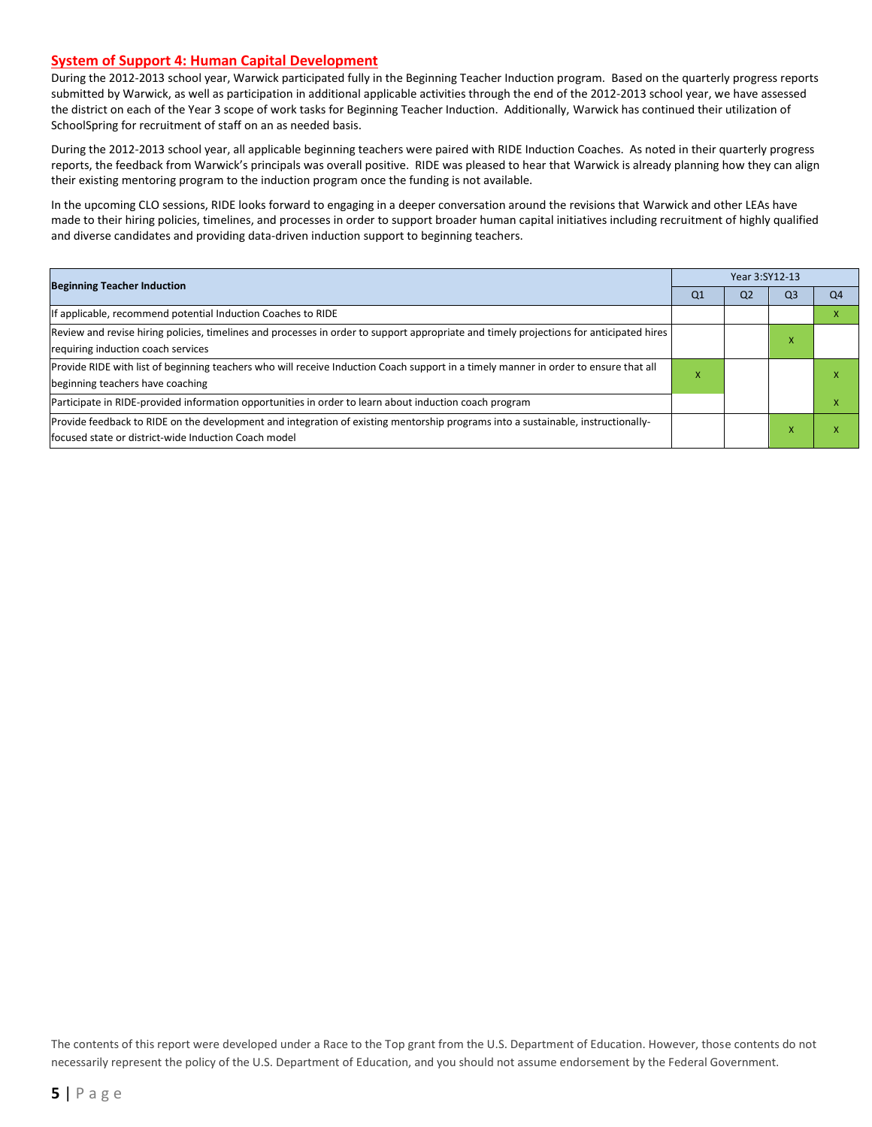#### **System of Support 4: Human Capital Development**

During the 2012-2013 school year, Warwick participated fully in the Beginning Teacher Induction program. Based on the quarterly progress reports submitted by Warwick, as well as participation in additional applicable activities through the end of the 2012-2013 school year, we have assessed the district on each of the Year 3 scope of work tasks for Beginning Teacher Induction. Additionally, Warwick has continued their utilization of SchoolSpring for recruitment of staff on an as needed basis.

During the 2012-2013 school year, all applicable beginning teachers were paired with RIDE Induction Coaches. As noted in their quarterly progress reports, the feedback from Warwick's principals was overall positive. RIDE was pleased to hear that Warwick is already planning how they can align their existing mentoring program to the induction program once the funding is not available.

In the upcoming CLO sessions, RIDE looks forward to engaging in a deeper conversation around the revisions that Warwick and other LEAs have made to their hiring policies, timelines, and processes in order to support broader human capital initiatives including recruitment of highly qualified and diverse candidates and providing data-driven induction support to beginning teachers.

| <b>Beginning Teacher Induction</b>                                                                                                      |    | Year 3:SY12-13 |                |                |  |  |  |
|-----------------------------------------------------------------------------------------------------------------------------------------|----|----------------|----------------|----------------|--|--|--|
|                                                                                                                                         | Q1 | Q <sub>2</sub> | Q <sub>3</sub> | O <sub>4</sub> |  |  |  |
| If applicable, recommend potential Induction Coaches to RIDE                                                                            |    |                |                |                |  |  |  |
| Review and revise hiring policies, timelines and processes in order to support appropriate and timely projections for anticipated hires |    |                | X              |                |  |  |  |
| requiring induction coach services                                                                                                      |    |                |                |                |  |  |  |
| Provide RIDE with list of beginning teachers who will receive Induction Coach support in a timely manner in order to ensure that all    | x  |                |                |                |  |  |  |
| beginning teachers have coaching                                                                                                        |    |                |                |                |  |  |  |
| Participate in RIDE-provided information opportunities in order to learn about induction coach program                                  |    |                |                |                |  |  |  |
| Provide feedback to RIDE on the development and integration of existing mentorship programs into a sustainable, instructionally-        |    |                |                |                |  |  |  |
| lfocused state or district-wide Induction Coach model                                                                                   |    |                |                |                |  |  |  |